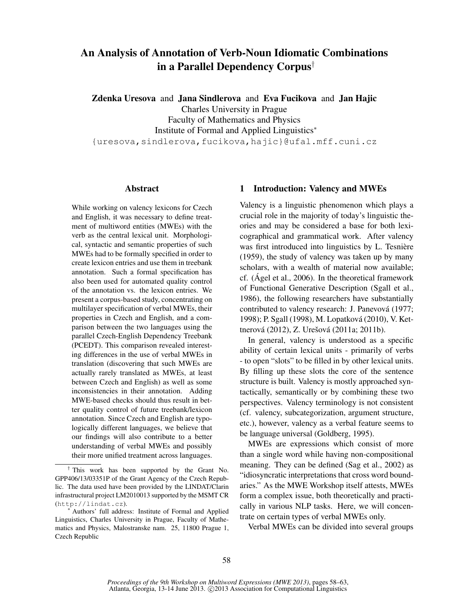# An Analysis of Annotation of Verb-Noun Idiomatic Combinations in a Parallel Dependency Corpus†

Zdenka Uresova and Jana Sindlerova and Eva Fucikova and Jan Hajic Charles University in Prague Faculty of Mathematics and Physics Institute of Formal and Applied Linguistics<sup>∗</sup> {uresova,sindlerova,fucikova,hajic}@ufal.mff.cuni.cz

### Abstract

While working on valency lexicons for Czech and English, it was necessary to define treatment of multiword entities (MWEs) with the verb as the central lexical unit. Morphological, syntactic and semantic properties of such MWEs had to be formally specified in order to create lexicon entries and use them in treebank annotation. Such a formal specification has also been used for automated quality control of the annotation vs. the lexicon entries. We present a corpus-based study, concentrating on multilayer specification of verbal MWEs, their properties in Czech and English, and a comparison between the two languages using the parallel Czech-English Dependency Treebank (PCEDT). This comparison revealed interesting differences in the use of verbal MWEs in translation (discovering that such MWEs are actually rarely translated as MWEs, at least between Czech and English) as well as some inconsistencies in their annotation. Adding MWE-based checks should thus result in better quality control of future treebank/lexicon annotation. Since Czech and English are typologically different languages, we believe that our findings will also contribute to a better understanding of verbal MWEs and possibly their more unified treatment across languages.

# 1 Introduction: Valency and MWEs

Valency is a linguistic phenomenon which plays a crucial role in the majority of today's linguistic theories and may be considered a base for both lexicographical and grammatical work. After valency was first introduced into linguistics by L. Tesnière (1959), the study of valency was taken up by many scholars, with a wealth of material now available; cf. (Ágel et al., 2006). In the theoretical framework of Functional Generative Description (Sgall et al., 1986), the following researchers have substantially contributed to valency research: J. Panevová (1977; 1998); P. Sgall (1998), M. Lopatková (2010), V. Kettnerová (2012), Z. Urešová (2011a; 2011b).

In general, valency is understood as a specific ability of certain lexical units - primarily of verbs - to open "slots" to be filled in by other lexical units. By filling up these slots the core of the sentence structure is built. Valency is mostly approached syntactically, semantically or by combining these two perspectives. Valency terminology is not consistent (cf. valency, subcategorization, argument structure, etc.), however, valency as a verbal feature seems to be language universal (Goldberg, 1995).

MWEs are expressions which consist of more than a single word while having non-compositional meaning. They can be defined (Sag et al., 2002) as "idiosyncratic interpretations that cross word boundaries." As the MWE Workshop itself attests, MWEs form a complex issue, both theoretically and practically in various NLP tasks. Here, we will concentrate on certain types of verbal MWEs only.

Verbal MWEs can be divided into several groups

<sup>†</sup> This work has been supported by the Grant No. GPP406/13/03351P of the Grant Agency of the Czech Republic. The data used have been provided by the LINDAT/Clarin infrastructural project LM2010013 supported by the MSMT CR (http://lindat.cz).

<sup>∗</sup> Authors' full address: Institute of Formal and Applied Linguistics, Charles University in Prague, Faculty of Mathematics and Physics, Malostranske nam. 25, 11800 Prague 1, Czech Republic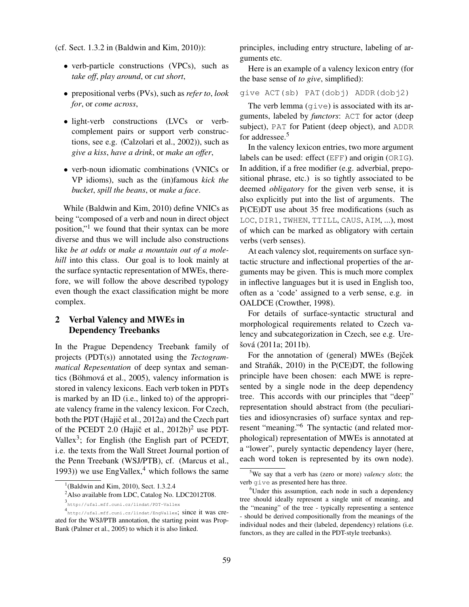(cf. Sect. 1.3.2 in (Baldwin and Kim, 2010)):

- verb-particle constructions (VPCs), such as *take off*, *play around*, or *cut short*,
- prepositional verbs (PVs), such as *refer to*, *look for*, or *come across*,
- light-verb constructions (LVCs or verbcomplement pairs or support verb constructions, see e.g. (Calzolari et al., 2002)), such as *give a kiss*, *have a drink*, or *make an offer*,
- verb-noun idiomatic combinations (VNICs or VP idioms), such as the (in)famous *kick the bucket*, *spill the beans*, or *make a face*.

While (Baldwin and Kim, 2010) define VNICs as being "composed of a verb and noun in direct object position,"<sup>1</sup> we found that their syntax can be more diverse and thus we will include also constructions like *be at odds* or *make a mountain out of a molehill* into this class. Our goal is to look mainly at the surface syntactic representation of MWEs, therefore, we will follow the above described typology even though the exact classification might be more complex.

# 2 Verbal Valency and MWEs in Dependency Treebanks

In the Prague Dependency Treebank family of projects (PDT(s)) annotated using the *Tectogrammatical Repesentation* of deep syntax and semantics (Böhmová et al., 2005), valency information is stored in valency lexicons. Each verb token in PDTs is marked by an ID (i.e., linked to) of the appropriate valency frame in the valency lexicon. For Czech, both the PDT (Hajič et al., 2012a) and the Czech part of the PCEDT 2.0 (Hajič et al.,  $2012b$ )<sup>2</sup> use PDT-Vallex<sup>3</sup>; for English (the English part of PCEDT, i.e. the texts from the Wall Street Journal portion of the Penn Treebank (WSJ/PTB), cf. (Marcus et al., 1993)) we use EngVallex, $4$  which follows the same principles, including entry structure, labeling of arguments etc.

Here is an example of a valency lexicon entry (for the base sense of *to give*, simplified):

give ACT(sb) PAT(dobj) ADDR(dobj2)

The verb lemma  $(qiv)$  is associated with its arguments, labeled by *functors*: ACT for actor (deep subject), PAT for Patient (deep object), and ADDR for addressee.<sup>5</sup>

In the valency lexicon entries, two more argument labels can be used: effect (EFF) and origin (ORIG). In addition, if a free modifier (e.g. adverbial, prepositional phrase, etc.) is so tightly associated to be deemed *obligatory* for the given verb sense, it is also explicitly put into the list of arguments. The P(CE)DT use about 35 free modifications (such as LOC, DIR1, TWHEN, TTILL, CAUS, AIM, ...), most of which can be marked as obligatory with certain verbs (verb senses).

At each valency slot, requirements on surface syntactic structure and inflectional properties of the arguments may be given. This is much more complex in inflective languages but it is used in English too, often as a 'code' assigned to a verb sense, e.g. in OALDCE (Crowther, 1998).

For details of surface-syntactic structural and morphological requirements related to Czech valency and subcategorization in Czech, see e.g. Urešová (2011a; 2011b).

For the annotation of (general) MWEs (Bejček and Straňák,  $2010$ ) in the P(CE)DT, the following principle have been chosen: each MWE is represented by a single node in the deep dependency tree. This accords with our principles that "deep" representation should abstract from (the peculiarities and idiosyncrasies of) surface syntax and represent "meaning."<sup>6</sup> The syntactic (and related morphological) representation of MWEs is annotated at a "lower", purely syntactic dependency layer (here, each word token is represented by its own node).

 $1$ <sup>1</sup>(Baldwin and Kim, 2010), Sect. 1.3.2.4

<sup>&</sup>lt;sup>2</sup>Also available from LDC, Catalog No. LDC2012T08.

<sup>3</sup> http://ufal.mff.cuni.cz/lindat/PDT-Vallex

<sup>4</sup> http://ufal.mff.cuni.cz/lindat/EngVallex; since it was created for the WSJ/PTB annotation, the starting point was Prop-Bank (Palmer et al., 2005) to which it is also linked.

<sup>5</sup>We say that a verb has (zero or more) *valency slots*; the verb give as presented here has three.

<sup>&</sup>lt;sup>6</sup>Under this assumption, each node in such a dependency tree should ideally represent a single unit of meaning, and the "meaning" of the tree - typically representing a sentence - should be derived compositionally from the meanings of the individual nodes and their (labeled, dependency) relations (i.e. functors, as they are called in the PDT-style treebanks).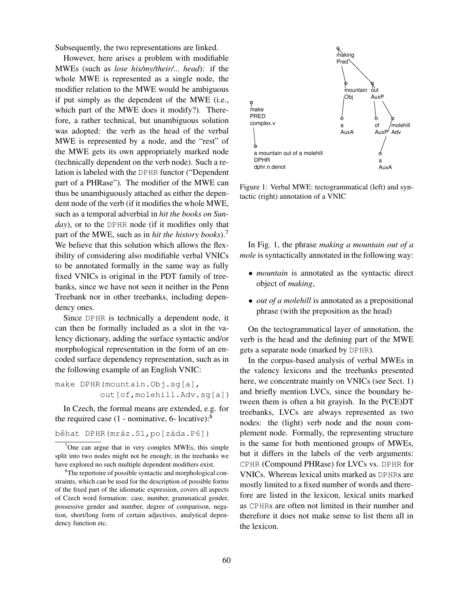Subsequently, the two representations are linked.

However, here arises a problem with modifiable MWEs (such as *lose his/my/their/... head*): if the whole MWE is represented as a single node, the modifier relation to the MWE would be ambiguous if put simply as the dependent of the MWE (i.e., which part of the MWE does it modify?). Therefore, a rather technical, but unambiguous solution was adopted: the verb as the head of the verbal MWE is represented by a node, and the "rest" of the MWE gets its own appropriately marked node (technically dependent on the verb node). Such a relation is labeled with the DPHR functor ("Dependent part of a PHRase"). The modifier of the MWE can thus be unambiguously attached as either the dependent node of the verb (if it modifies the whole MWE, such as a temporal adverbial in *hit the books on Sunday*), or to the DPHR node (if it modifies only that part of the MWE, such as in *hit the history books*).<sup>7</sup> We believe that this solution which allows the flexibility of considering also modifiable verbal VNICs to be annotated formally in the same way as fully fixed VNICs is original in the PDT family of treebanks, since we have not seen it neither in the Penn Treebank nor in other treebanks, including dependency ones.

Since DPHR is technically a dependent node, it can then be formally included as a slot in the valency dictionary, adding the surface syntactic and/or morphological representation in the form of an encoded surface dependency representation, such as in the following example of an English VNIC:

make DPHR(mountain.Obj.sg[a], out[of,molehill.Adv.sg[a])

In Czech, the formal means are extended, e.g. for the required case  $(1 - \text{nominative}, 6 - \text{locative})$ :<sup>8</sup>

běhat DPHR(mráz.S1, po[záda.P6])



Figure 1: Verbal MWE: tectogrammatical (left) and syntactic (right) annotation of a VNIC

In Fig. 1, the phrase *making a mountain out of a mole* is syntactically annotated in the following way:

- *mountain* is annotated as the syntactic direct object of *making*,
- *out of a molehill* is annotated as a prepositional phrase (with the preposition as the head)

On the tectogrammatical layer of annotation, the verb is the head and the defining part of the MWE gets a separate node (marked by DPHR).

In the corpus-based analysis of verbal MWEs in the valency lexicons and the treebanks presented here, we concentrate mainly on VNICs (see Sect. 1) and briefly mention LVCs, since the boundary between them is often a bit grayish. In the P(CE)DT treebanks, LVCs are always represented as two nodes: the (light) verb node and the noun complement node. Formally, the representing structure is the same for both mentioned groups of MWEs, but it differs in the labels of the verb arguments: CPHR (Compound PHRase) for LVCs vs. DPHR for VNICs. Whereas lexical units marked as DPHRs are mostly limited to a fixed number of words and therefore are listed in the lexicon, lexical units marked as CPHRs are often not limited in their number and therefore it does not make sense to list them all in the lexicon.

 $7$ One can argue that in very complex MWEs, this simple split into two nodes might not be enough; in the treebanks we have explored no such multiple dependent modifiers exist.

<sup>&</sup>lt;sup>8</sup>The repertoire of possible syntactic and morphological constraints, which can be used for the description of possible forms of the fixed part of the idiomatic expression, covers all aspects of Czech word formation: case, number, grammatical gender, possessive gender and number, degree of comparison, negation, short/long form of certain adjectives, analytical dependency function etc.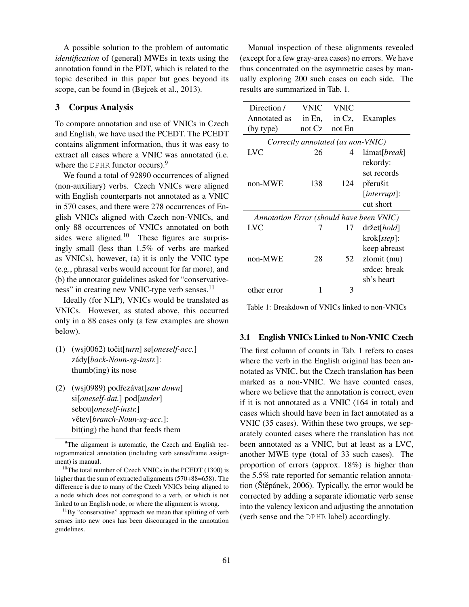A possible solution to the problem of automatic *identification* of (general) MWEs in texts using the annotation found in the PDT, which is related to the topic described in this paper but goes beyond its scope, can be found in (Bejcek et al., 2013).

## 3 Corpus Analysis

To compare annotation and use of VNICs in Czech and English, we have used the PCEDT. The PCEDT contains alignment information, thus it was easy to extract all cases where a VNIC was annotated (i.e. where the DPHR functor occurs).<sup>9</sup>

We found a total of 92890 occurrences of aligned (non-auxiliary) verbs. Czech VNICs were aligned with English counterparts not annotated as a VNIC in 570 cases, and there were 278 occurrences of English VNICs aligned with Czech non-VNICs, and only 88 occurrences of VNICs annotated on both sides were aligned.<sup>10</sup> These figures are surprisingly small (less than 1.5% of verbs are marked as VNICs), however, (a) it is only the VNIC type (e.g., phrasal verbs would account for far more), and (b) the annotator guidelines asked for "conservativeness" in creating new VNIC-type verb senses.<sup>11</sup>

Ideally (for NLP), VNICs would be translated as VNICs. However, as stated above, this occurred only in a 88 cases only (a few examples are shown below).

- $(1)$  (wsj0062) to čit[ $turn$ ] se[ $oneself-acc.]$ zády[*back-Noun-sg-instr.*]: thumb(ing) its nose
- (2) (wsj0989) podˇrezávat[*saw down*] si[*oneself-dat.*] pod[*under*] sebou[*oneself-instr.*] větev[branch-Noun-sg-acc.]: bit(ing) the hand that feeds them

Manual inspection of these alignments revealed (except for a few gray-area cases) no errors. We have thus concentrated on the asymmetric cases by manually exploring 200 such cases on each side. The results are summarized in Tab. 1.

| Direction /                              | VNIC     | <b>VNIC</b> |                             |
|------------------------------------------|----------|-------------|-----------------------------|
| Annotated as                             | in En,   | in Cz,      | Examples                    |
| (by type)                                | not $Cz$ | not En      |                             |
| Correctly annotated (as non-VNIC)        |          |             |                             |
| LVC                                      | 26       | 4           | lámat[ <i>break</i> ]       |
|                                          |          |             | rekordy:                    |
|                                          |          |             | set records                 |
| non-MWE                                  | 138      | 124         | přerušit                    |
|                                          |          |             | $[interrupt]$ :             |
|                                          |          |             | cut short                   |
| Annotation Error (should have been VNIC) |          |             |                             |
| LVC                                      |          | 17          | $dr \check{z}$ et[ $hold$ ] |
|                                          |          |             | $k \cdot  step $ :          |
|                                          |          |             | keep abreast                |
| non-MWE                                  | 28       | 52          | zlomit (mu)                 |
|                                          |          |             | srdce: break                |
|                                          |          |             | sb's heart                  |
| other error                              |          | 3           |                             |

Table 1: Breakdown of VNICs linked to non-VNICs

#### 3.1 English VNICs Linked to Non-VNIC Czech

The first column of counts in Tab. 1 refers to cases where the verb in the English original has been annotated as VNIC, but the Czech translation has been marked as a non-VNIC. We have counted cases, where we believe that the annotation is correct, even if it is not annotated as a VNIC (164 in total) and cases which should have been in fact annotated as a VNIC (35 cases). Within these two groups, we separately counted cases where the translation has not been annotated as a VNIC, but at least as a LVC, another MWE type (total of 33 such cases). The proportion of errors (approx. 18%) is higher than the 5.5% rate reported for semantic relation annotation (Štěpánek, 2006). Typically, the error would be corrected by adding a separate idiomatic verb sense into the valency lexicon and adjusting the annotation (verb sense and the DPHR label) accordingly.

<sup>&</sup>lt;sup>9</sup>The alignment is automatic, the Czech and English tectogrammatical annotation (including verb sense/frame assignment) is manual.

<sup>&</sup>lt;sup>10</sup>The total number of Czech VNICs in the PCEDT  $(1300)$  is higher than the sum of extracted alignments (570+88=658). The difference is due to many of the Czech VNICs being aligned to a node which does not correspond to a verb, or which is not linked to an English node, or where the alignment is wrong.

 $11\,\text{By}$  "conservative" approach we mean that splitting of verb senses into new ones has been discouraged in the annotation guidelines.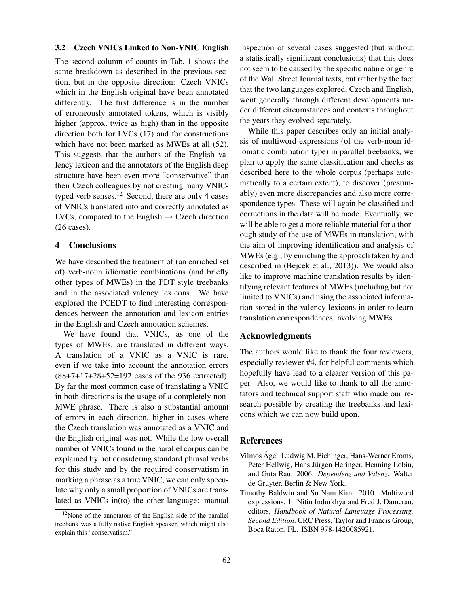#### 3.2 Czech VNICs Linked to Non-VNIC English

The second column of counts in Tab. 1 shows the same breakdown as described in the previous section, but in the opposite direction: Czech VNICs which in the English original have been annotated differently. The first difference is in the number of erroneously annotated tokens, which is visibly higher (approx. twice as high) than in the opposite direction both for LVCs (17) and for constructions which have not been marked as MWEs at all (52). This suggests that the authors of the English valency lexicon and the annotators of the English deep structure have been even more "conservative" than their Czech colleagues by not creating many VNICtyped verb senses.<sup>12</sup> Second, there are only 4 cases of VNICs translated into and correctly annotated as LVCs, compared to the English  $\rightarrow$  Czech direction (26 cases).

# 4 Conclusions

We have described the treatment of (an enriched set of) verb-noun idiomatic combinations (and briefly other types of MWEs) in the PDT style treebanks and in the associated valency lexicons. We have explored the PCEDT to find interesting correspondences between the annotation and lexicon entries in the English and Czech annotation schemes.

We have found that VNICs, as one of the types of MWEs, are translated in different ways. A translation of a VNIC as a VNIC is rare, even if we take into account the annotation errors (88+7+17+28+52=192 cases of the 936 extracted). By far the most common case of translating a VNIC in both directions is the usage of a completely non-MWE phrase. There is also a substantial amount of errors in each direction, higher in cases where the Czech translation was annotated as a VNIC and the English original was not. While the low overall number of VNICs found in the parallel corpus can be explained by not considering standard phrasal verbs for this study and by the required conservatism in marking a phrase as a true VNIC, we can only speculate why only a small proportion of VNICs are translated as VNICs in(to) the other language: manual inspection of several cases suggested (but without a statistically significant conclusions) that this does not seem to be caused by the specific nature or genre of the Wall Street Journal texts, but rather by the fact that the two languages explored, Czech and English, went generally through different developments under different circumstances and contexts throughout the years they evolved separately.

While this paper describes only an initial analysis of multiword expressions (of the verb-noun idiomatic combination type) in parallel treebanks, we plan to apply the same classification and checks as described here to the whole corpus (perhaps automatically to a certain extent), to discover (presumably) even more discrepancies and also more correspondence types. These will again be classified and corrections in the data will be made. Eventually, we will be able to get a more reliable material for a thorough study of the use of MWEs in translation, with the aim of improving identification and analysis of MWEs (e.g., by enriching the approach taken by and described in (Bejcek et al., 2013)). We would also like to improve machine translation results by identifying relevant features of MWEs (including but not limited to VNICs) and using the associated information stored in the valency lexicons in order to learn translation correspondences involving MWEs.

#### Acknowledgments

The authors would like to thank the four reviewers, especially reviewer #4, for helpful comments which hopefully have lead to a clearer version of this paper. Also, we would like to thank to all the annotators and technical support staff who made our research possible by creating the treebanks and lexicons which we can now build upon.

#### References

- Vilmos Ágel, Ludwig M. Eichinger, Hans-Werner Eroms, Peter Hellwig, Hans Jürgen Heringer, Henning Lobin, and Guta Rau. 2006. *Dependenz und Valenz*. Walter de Gruyter, Berlin & New York.
- Timothy Baldwin and Su Nam Kim. 2010. Multiword expressions. In Nitin Indurkhya and Fred J. Damerau, editors, *Handbook of Natural Language Processing, Second Edition*. CRC Press, Taylor and Francis Group, Boca Raton, FL. ISBN 978-1420085921.

 $12$ None of the annotators of the English side of the parallel treebank was a fully native English speaker, which might also explain this "conservatism."